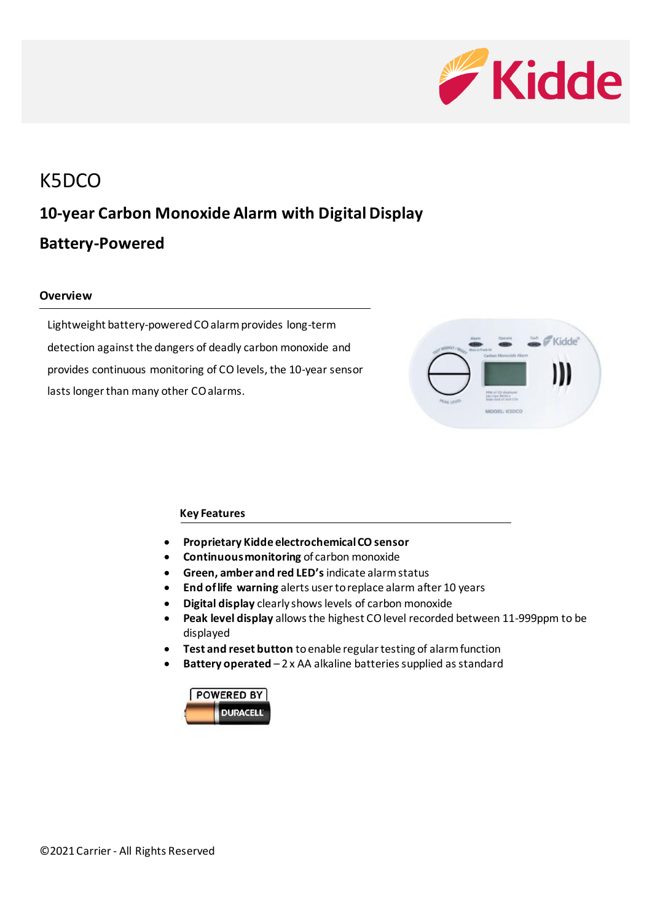

# K5DCO **10-year Carbon Monoxide Alarm with Digital Display Battery-Powered**

#### **Overview**

Lightweight battery-poweredCO alarm provides long-term detection against the dangers of deadly carbon monoxide and provides continuous monitoring of CO levels, the 10-year sensor lasts longer than many other CO alarms.



#### **Key Features**

- **Proprietary Kidde electrochemical CO sensor**
- **Continuous monitoring** of carbon monoxide
- **Green, amber and red LED's** indicate alarm status
- **End of life warning** alerts user to replace alarm after 10 years
- **Digital display** clearly shows levels of carbon monoxide
- **Peak level display** allows the highest CO level recorded between 11-999ppm to be displayed
- **Test and reset button** to enable regular testing of alarm function
- **Battery operated**  2 x AA alkaline batteries supplied as standard